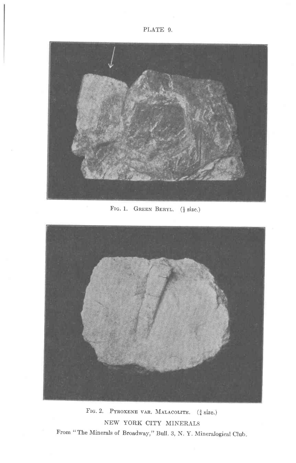

FIG. 1. GREEN BERYL.  $(\frac{1}{2}$  size.)



FIG. 2. PYROXENE VAR. MALACOLITE.  $(\frac{3}{4}$  size.) NEW YORK CITY MINERALS From "The Minerals of Broadway," Bull. 3, N. Y. Mineralogical Club.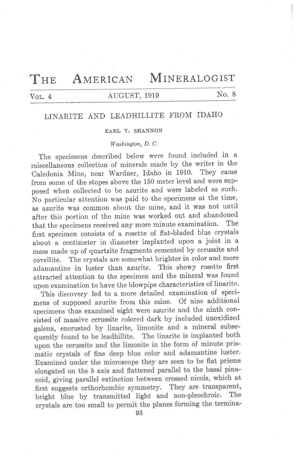# THE AMERICAN MINERALOGIST

# Vol. 4 AUGUST, 1919 No. 8

## LINARITE AND LEADHILLITE FROM IDAHO

### EARL V. SHANNON

### Washington, D.C.

The specimens described below were found included in a miscellaneous collection of minerals made by the writer in the Caledonia Mine, near Wardner, Idaho in 1910. They came from some of the stopes above the 150 meter level and were supposed when collected to be azurite and were labeled as such. No particular attention was paid to the specimens at the time, as azurite was common about the mine, and it was not until after this portion of the mine was worked out and abandoned<br>that the specimens received any more minute examination. The that the specimens received any more minute examination. first specimen consists of a rosette of flat-bladed blue crystals about a centimeter in diameter implanted upon a' joint in a mass made up of quartzite fragments cemented by cerussite and covellite. The crystals are somewhat brighter in color and more adamantine in luster than azurite. This showy rosette first attracted attention to the specimen and the mineral was found upon examination to have the blowpipe characteristics of linarite.

This discovery led to a more detailed examination of specimens of supposed azurite from this mine. Of nine additional specimens thus examined eight were azurite and the ninth consisted of massive cerussite colored dark by included unoxidized quently found to be leadhillite. The linarite is implanted both upon the cerussite and the limonite in the form of minute prismatic crystals of fine deep blue color and adamantine luster. Examined under the microscope they are seen to be flat prisms elongated on the b axis and flattened parallel to the basal pinacoid, giving parallel extinction between crossed nicols, which at first suggests orthorhombic symmetry. They are transparent, bright blue by transmitted light and non-pleochroic. The crystals are too small to permit the planes forming the termina-